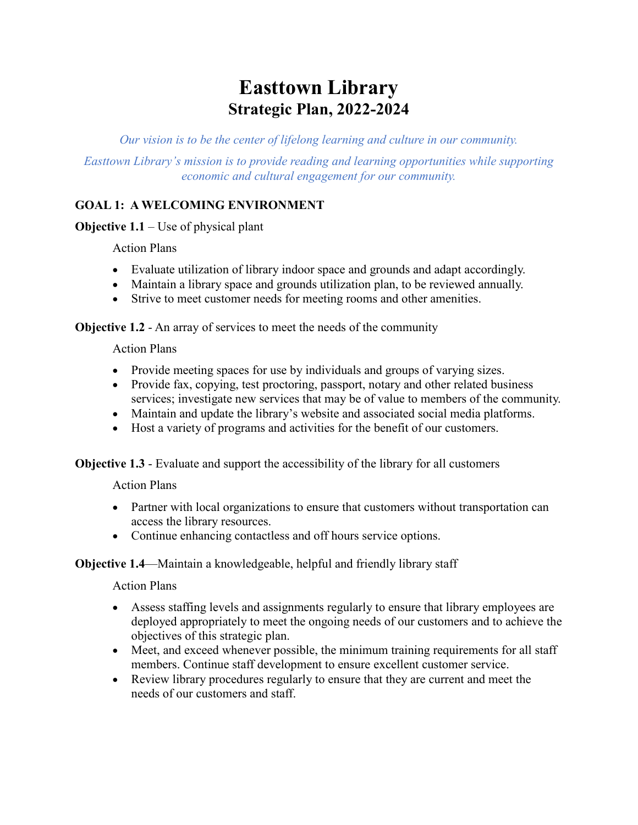# **Easttown Library Strategic Plan, 2022-2024**

*Our vision is to be the center of lifelong learning and culture in our community.*

*Easttown Library's mission is to provide reading and learning opportunities while supporting economic and cultural engagement for our community.*

#### **GOAL 1: A WELCOMING ENVIRONMENT**

**Objective 1.1** – Use of physical plant

Action Plans

- Evaluate utilization of library indoor space and grounds and adapt accordingly.
- Maintain a library space and grounds utilization plan, to be reviewed annually.
- Strive to meet customer needs for meeting rooms and other amenities.

**Objective 1.2** - An array of services to meet the needs of the community

Action Plans

- Provide meeting spaces for use by individuals and groups of varying sizes.
- Provide fax, copying, test proctoring, passport, notary and other related business services; investigate new services that may be of value to members of the community.
- Maintain and update the library's website and associated social media platforms.
- Host a variety of programs and activities for the benefit of our customers.

**Objective 1.3** - Evaluate and support the accessibility of the library for all customers

Action Plans

- Partner with local organizations to ensure that customers without transportation can access the library resources.
- Continue enhancing contactless and off hours service options.

#### **Objective 1.4**—Maintain a knowledgeable, helpful and friendly library staff

Action Plans

- Assess staffing levels and assignments regularly to ensure that library employees are deployed appropriately to meet the ongoing needs of our customers and to achieve the objectives of this strategic plan.
- Meet, and exceed whenever possible, the minimum training requirements for all staff members. Continue staff development to ensure excellent customer service.
- Review library procedures regularly to ensure that they are current and meet the needs of our customers and staff.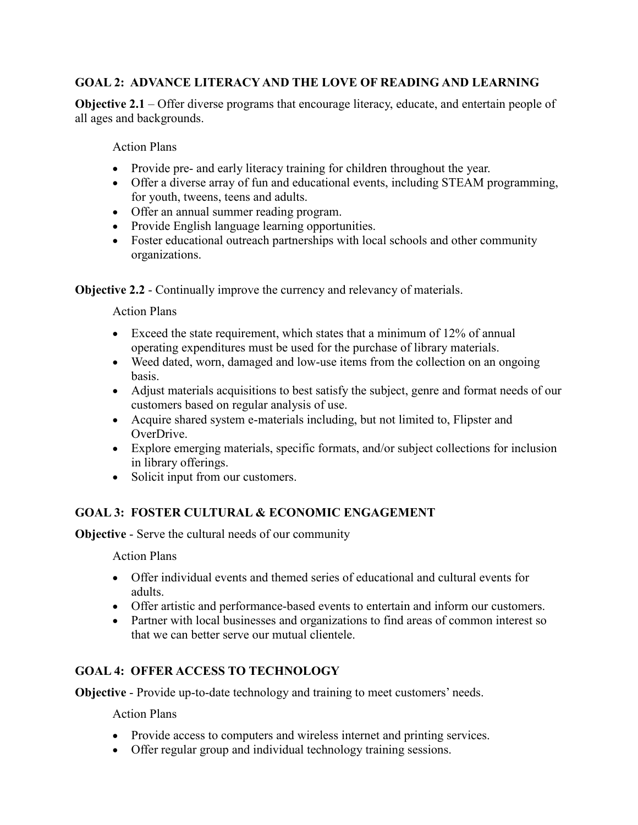## **GOAL 2: ADVANCE LITERACY AND THE LOVE OF READING AND LEARNING**

**Objective 2.1** – Offer diverse programs that encourage literacy, educate, and entertain people of all ages and backgrounds.

Action Plans

- Provide pre- and early literacy training for children throughout the year.
- Offer a diverse array of fun and educational events, including STEAM programming, for youth, tweens, teens and adults.
- Offer an annual summer reading program.
- Provide English language learning opportunities.
- Foster educational outreach partnerships with local schools and other community organizations.

**Objective 2.2** - Continually improve the currency and relevancy of materials.

Action Plans

- Exceed the state requirement, which states that a minimum of 12% of annual operating expenditures must be used for the purchase of library materials.
- Weed dated, worn, damaged and low-use items from the collection on an ongoing basis.
- Adjust materials acquisitions to best satisfy the subject, genre and format needs of our customers based on regular analysis of use.
- Acquire shared system e-materials including, but not limited to, Flipster and OverDrive.
- Explore emerging materials, specific formats, and/or subject collections for inclusion in library offerings.
- Solicit input from our customers.

## **GOAL 3: FOSTER CULTURAL & ECONOMIC ENGAGEMENT**

**Objective** - Serve the cultural needs of our community

Action Plans

- Offer individual events and themed series of educational and cultural events for adults.
- Offer artistic and performance-based events to entertain and inform our customers.
- Partner with local businesses and organizations to find areas of common interest so that we can better serve our mutual clientele.

## **GOAL 4: OFFER ACCESS TO TECHNOLOGY**

**Objective** - Provide up-to-date technology and training to meet customers' needs.

Action Plans

- Provide access to computers and wireless internet and printing services.
- Offer regular group and individual technology training sessions.